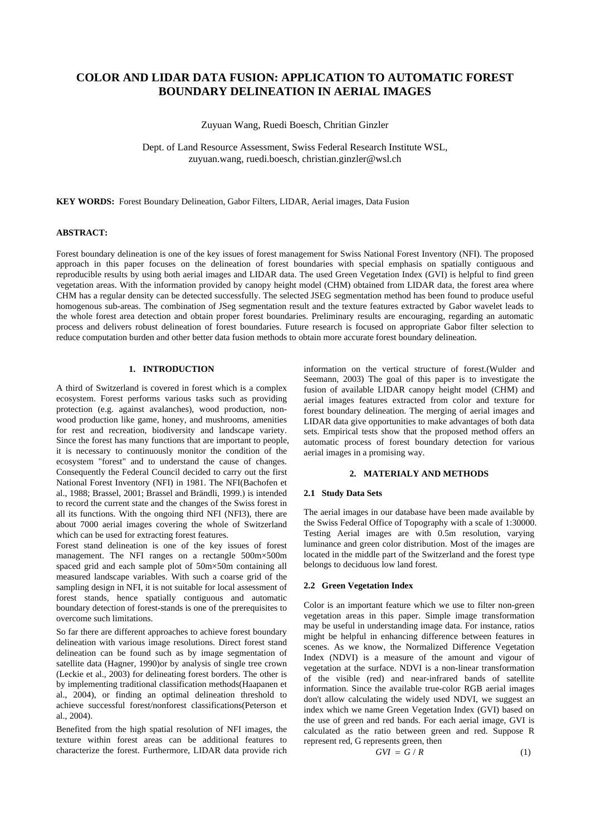# **COLOR AND LIDAR DATA FUSION: APPLICATION TO AUTOMATIC FOREST BOUNDARY DELINEATION IN AERIAL IMAGES**

Zuyuan Wang, Ruedi Boesch, Chritian Ginzler

Dept. of Land Resource Assessment, Swiss Federal Research Institute WSL, zuyuan.wang, ruedi.boesch, christian.ginzler@wsl.ch

**KEY WORDS:** Forest Boundary Delineation, Gabor Filters, LIDAR, Aerial images, Data Fusion

# **ABSTRACT:**

Forest boundary delineation is one of the key issues of forest management for Swiss National Forest Inventory (NFI). The proposed approach in this paper focuses on the delineation of forest boundaries with special emphasis on spatially contiguous and reproducible results by using both aerial images and LIDAR data. The used Green Vegetation Index (GVI) is helpful to find green vegetation areas. With the information provided by canopy height model (CHM) obtained from LIDAR data, the forest area where CHM has a regular density can be detected successfully. The selected JSEG segmentation method has been found to produce useful homogenous sub-areas. The combination of JSeg segmentation result and the texture features extracted by Gabor wavelet leads to the whole forest area detection and obtain proper forest boundaries. Preliminary results are encouraging, regarding an automatic process and delivers robust delineation of forest boundaries. Future research is focused on appropriate Gabor filter selection to reduce computation burden and other better data fusion methods to obtain more accurate forest boundary delineation.

## **1. INTRODUCTION**

A third of Switzerland is covered in forest which is a complex ecosystem. Forest performs various tasks such as providing protection (e.g. against avalanches), wood production, nonwood production like game, honey, and mushrooms, amenities for rest and recreation, biodiversity and landscape variety. Since the forest has many functions that are important to people, it is necessary to continuously monitor the condition of the ecosystem "forest" and to understand the cause of changes. Consequently the Federal Council decided to carry out the first National Forest Inventory (NFI) in 1981. The NFI(Bachofen et al., 1988; Brassel, 2001; Brassel and Brändli, 1999.) is intended to record the current state and the changes of the Swiss forest in all its functions. With the ongoing third NFI (NFI3), there are about 7000 aerial images covering the whole of Switzerland which can be used for extracting forest features.

Forest stand delineation is one of the key issues of forest management. The NFI ranges on a rectangle 500m×500m spaced grid and each sample plot of 50m×50m containing all measured landscape variables. With such a coarse grid of the sampling design in NFI, it is not suitable for local assessment of forest stands, hence spatially contiguous and automatic boundary detection of forest-stands is one of the prerequisites to overcome such limitations.

So far there are different approaches to achieve forest boundary delineation with various image resolutions. Direct forest stand delineation can be found such as by image segmentation of satellite data (Hagner, 1990)or by analysis of single tree crown (Leckie et al., 2003) for delineating forest borders. The other is by implementing traditional classification methods(Haapanen et al., 2004), or finding an optimal delineation threshold to achieve successful forest/nonforest classifications(Peterson et al., 2004).

Benefited from the high spatial resolution of NFI images, the texture within forest areas can be additional features to characterize the forest. Furthermore, LIDAR data provide rich information on the vertical structure of forest.(Wulder and Seemann, 2003) The goal of this paper is to investigate the fusion of available LIDAR canopy height model (CHM) and aerial images features extracted from color and texture for forest boundary delineation. The merging of aerial images and LIDAR data give opportunities to make advantages of both data sets. Empirical tests show that the proposed method offers an automatic process of forest boundary detection for various aerial images in a promising way.

## **2. MATERIALY AND METHODS**

# **2.1 Study Data Sets**

The aerial images in our database have been made available by the Swiss Federal Office of Topography with a scale of 1:30000. Testing Aerial images are with 0.5m resolution, varying luminance and green color distribution. Most of the images are located in the middle part of the Switzerland and the forest type belongs to deciduous low land forest.

### **2.2 Green Vegetation Index**

Color is an important feature which we use to filter non-green vegetation areas in this paper. Simple image transformation may be useful in understanding image data. For instance, ratios might be helpful in enhancing difference between features in scenes. As we know, the Normalized Difference Vegetation Index (NDVI) is a measure of the amount and vigour of vegetation at the surface. NDVI is a non-linear transformation of the visible (red) and near-infrared bands of satellite information. Since the available true-color RGB aerial images don't allow calculating the widely used NDVI, we suggest an index which we name Green Vegetation Index (GVI) based on the use of green and red bands. For each aerial image, GVI is calculated as the ratio between green and red. Suppose R represent red, G represents green, then

$$
GVI = G/R \tag{1}
$$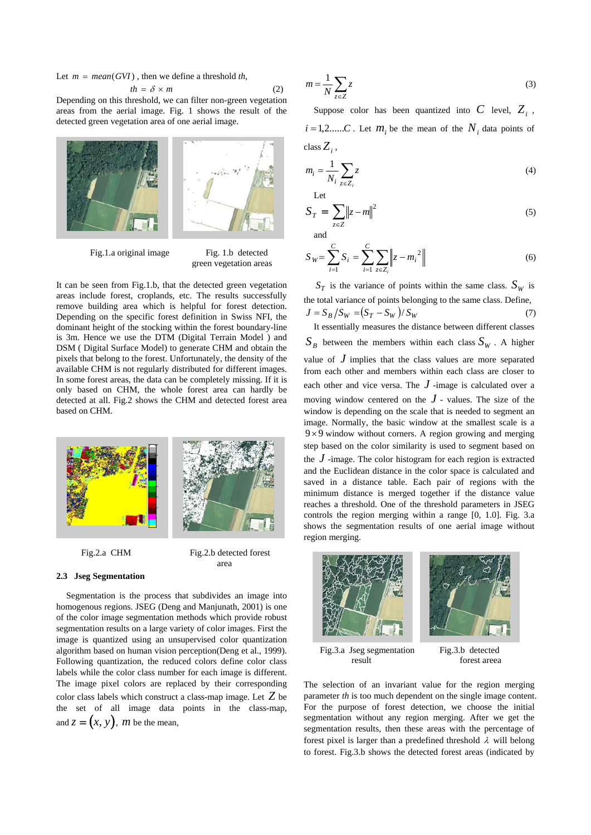Let  $m = mean(GVI)$ , then we define a threshold *th*,

$$
th = \delta \times m \tag{2}
$$

Depending on this threshold, we can filter non-green vegetation areas from the aerial image. Fig. 1 shows the result of the detected green vegetation area of one aerial image.



Fig.1.a original image Fig. 1.b detected

# green vegetation areas

It can be seen from Fig.1.b, that the detected green vegetation areas include forest, croplands, etc. The results successfully remove building area which is helpful for forest detection. Depending on the specific forest definition in Swiss NFI, the dominant height of the stocking within the forest boundary-line is 3m. Hence we use the DTM (Digital Terrain Model ) and DSM ( Digital Surface Model) to generate CHM and obtain the pixels that belong to the forest. Unfortunately, the density of the available CHM is not regularly distributed for different images. In some forest areas, the data can be completely missing. If it is only based on CHM, the whole forest area can hardly be detected at all. Fig.2 shows the CHM and detected forest area based on CHM.



### Fig.2.a CHM Fig.2.b detected forest area

**2.3 Jseg Segmentation** 

Segmentation is the process that subdivides an image into homogenous regions. JSEG (Deng and Manjunath, 2001) is one of the color image segmentation methods which provide robust segmentation results on a large variety of color images. First the image is quantized using an unsupervised color quantization algorithm based on human vision perception(Deng et al., 1999). Following quantization, the reduced colors define color class labels while the color class number for each image is different. The image pixel colors are replaced by their corresponding color class labels which construct a class-map image. Let *Z* be the set of all image data points in the class-map, and  $z = (x, y)$ , *m* be the mean,

$$
m = \frac{1}{N} \sum_{z \in Z} z \tag{3}
$$

Suppose color has been quantized into  $C$  level,  $Z_i$ ,  $i = 1, 2, \dots, C$ . Let  $m_i$  be the mean of the  $N_i$  data points of  $class Z_i$ ,

$$
m_i = \frac{1}{N_i} \sum_{z \in Z_i} z
$$
 (4)

$$
S_T = \sum_{z \in Z} ||z - m||^2
$$
 (5)

and

$$
S_W = \sum_{i=1}^{C} S_i = \sum_{i=1}^{C} \sum_{z \in Z_i} \left\| z - m_i^2 \right\| \tag{6}
$$

 $S_T$  is the variance of points within the same class.  $S_W$  is the total variance of points belonging to the same class. Define,  $J = S_B/S_W = (S_T - S_W)/S_W$  (7) It essentially measures the distance between different classes

 $S_R$  between the members within each class  $S_W$ . A higher

value of  $J$  implies that the class values are more separated from each other and members within each class are closer to each other and vice versa. The  $J$ -image is calculated over a moving window centered on the  $J$  - values. The size of the window is depending on the scale that is needed to segment an image. Normally, the basic window at the smallest scale is a  $9\times9$  window without corners. A region growing and merging step based on the color similarity is used to segment based on the *J* -image. The color histogram for each region is extracted and the Euclidean distance in the color space is calculated and saved in a distance table. Each pair of regions with the minimum distance is merged together if the distance value reaches a threshold. One of the threshold parameters in JSEG controls the region merging within a range [0, 1.0]. Fig. 3.a shows the segmentation results of one aerial image without region merging.



Fig.3.a Jseg segmentation Fig.3.b detected result forest areea

The selection of an invariant value for the region merging parameter *th* is too much dependent on the single image content. For the purpose of forest detection, we choose the initial segmentation without any region merging. After we get the segmentation results, then these areas with the percentage of forest pixel is larger than a predefined threshold  $\lambda$  will belong to forest. Fig.3.b shows the detected forest areas (indicated by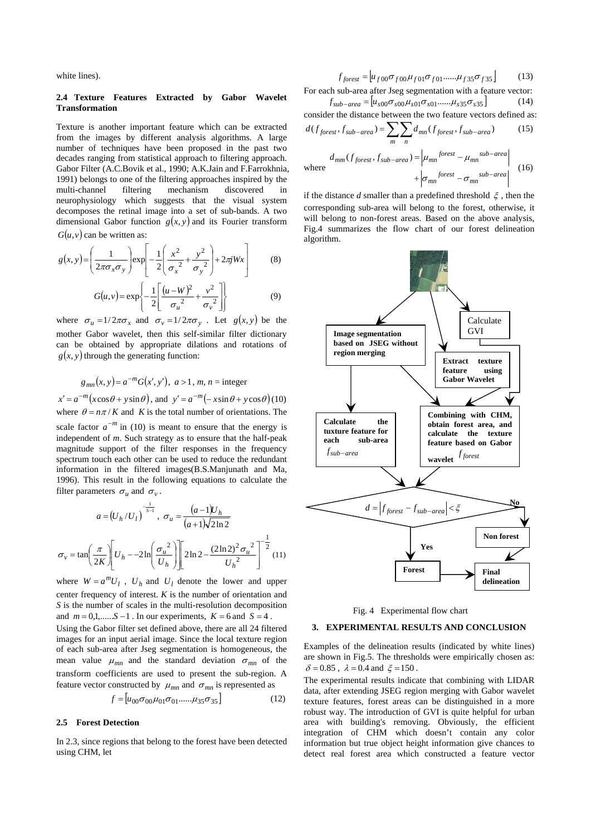white lines).

### **2.4 Texture Features Extracted by Gabor Wavelet Transformation**

Texture is another important feature which can be extracted from the images by different analysis algorithms. A large number of techniques have been proposed in the past two decades ranging from statistical approach to filtering approach. Gabor Filter (A.C.Bovik et al., 1990; A.K.Jain and F.Farrokhnia, 1991) belongs to one of the filtering approaches inspired by the multi-channel filtering mechanism discovered in multi-channel filtering mechanism discovered in neurophysiology which suggests that the visual system decomposes the retinal image into a set of sub-bands. A two dimensional Gabor function  $g(x, y)$  and its Fourier transform  $G(u, v)$  can be written as:

$$
g(x, y) = \left(\frac{1}{2\pi\sigma_x\sigma_y}\right) \exp\left[-\frac{1}{2}\left(\frac{x^2}{\sigma_x^2} + \frac{y^2}{\sigma_y^2}\right) + 2\pi j Wx\right] \tag{8}
$$

$$
G(u,v) = \exp\left\{-\frac{1}{2}\left[\frac{(u-W)^2}{\sigma_u^2} + \frac{v^2}{\sigma_v^2}\right]\right\}
$$
(9)

where  $\sigma_u = 1/2\pi\sigma_x$  and  $\sigma_v = 1/2\pi\sigma_y$ . Let  $g(x, y)$  be the mother Gabor wavelet, then this self-similar filter dictionary can be obtained by appropriate dilations and rotations of  $g(x, y)$  through the generating function:

$$
g_{mn}(x, y) = a^{-m}G(x', y'), a > 1, m, n =
$$
integer

 $x' = a^{-m} (x \cos \theta + y \sin \theta)$ , and  $y' = a^{-m} (-x \sin \theta + y \cos \theta)$  (10) where  $\theta = n\pi/K$  and *K* is the total number of orientations. The scale factor  $a^{-m}$  in (10) is meant to ensure that the energy is independent of *m*. Such strategy as to ensure that the half-peak magnitude support of the filter responses in the frequency spectrum touch each other can be used to reduce the redundant information in the filtered images(B.S.Manjunath and Ma, 1996). This result in the following equations to calculate the filter parameters  $\sigma_u$  and  $\sigma_v$ .

$$
a = (U_h/U_I)^{\frac{1}{s-1}}, \sigma_u = \frac{(a-1)U_h}{(a+1)\sqrt{2\ln 2}}
$$

$$
\sigma_v = \tan\left(\frac{\pi}{2K}\right) \left[U_h - 2\ln\left(\frac{\sigma_u^2}{U_h}\right)\right] \left[2\ln 2 - \frac{(2\ln 2)^2 \sigma_u^2}{U_h^2}\right]^{-\frac{1}{2}} (11)
$$

where  $W = a^m U_l$ ,  $U_h$  and  $U_l$  denote the lower and upper center frequency of interest. *K* is the number of orientation and *S* is the number of scales in the multi-resolution decomposition and  $m = 0,1, \ldots S - 1$ . In our experiments,  $K = 6$  and  $S = 4$ . Using the Gabor filter set defined above, there are all 24 filtered images for an input aerial image. Since the local texture region of each sub-area after Jseg segmentation is homogeneous, the mean value  $\mu_{mn}$  and the standard deviation  $\sigma_{mn}$  of the transform coefficients are used to present the sub-region. A feature vector constructed by  $\mu_{mn}$  and  $\sigma_{mn}$  is represented as

$$
f = [u_{00}\sigma_{00}\mu_{01}\sigma_{01}.....\mu_{35}\sigma_{35}] \tag{12}
$$

### **2.5 Forest Detection**

In 2.3, since regions that belong to the forest have been detected using CHM, let

$$
f_{forest} = [u_{f00}\sigma_{f00}\mu_{f01}\sigma_{f01}.....\mu_{f35}\sigma_{f35}] \tag{13}
$$

For each sub-area after Jseg segmentation with a feature vector:  $f_{sub-area} = [u_{s00} \sigma_{s00} \mu_{s01} \sigma_{s01} \dots \mu_{s35} \sigma_{s35}]$  (14)

consider the distance between the two feature vectors defined as:  $d(f_{forest}, f_{sub-area}) = \sum \sum d_{mn}(f_{forest}, f_{sub-area})$  (15)

$$
u \vee j \text{ forest } \cdot j \text{ sub-area } \cdot \frac{m}{m} \wedge \frac{m}{n}
$$

where  
\n
$$
d_{mm}(f_{forest}, f_{sub-area}) = \left| \mu_{mn}^{forest} - \mu_{mn}^{sub-area} \right|
$$
\n
$$
+ \left| \sigma_{mn}^{forest} - \sigma_{mn}^{sub-area} \right|
$$
\n(16)

if the distance *d* smaller than a predefined threshold ξ , then the corresponding sub-area will belong to the forest, otherwise, it will belong to non-forest areas. Based on the above analysis, Fig.4 summarizes the flow chart of our forest delineation algorithm.



Fig. 4 Experimental flow chart

#### **3. EXPERIMENTAL RESULTS AND CONCLUSION**

Examples of the delineation results (indicated by white lines) are shown in Fig.5. The thresholds were empirically chosen as:  $\delta = 0.85$ ,  $\lambda = 0.4$  and  $\xi = 150$ .

The experimental results indicate that combining with LIDAR data, after extending JSEG region merging with Gabor wavelet texture features, forest areas can be distinguished in a more robust way. The introduction of GVI is quite helpful for urban area with building's removing. Obviously, the efficient integration of CHM which doesn't contain any color information but true object height information give chances to detect real forest area which constructed a feature vector